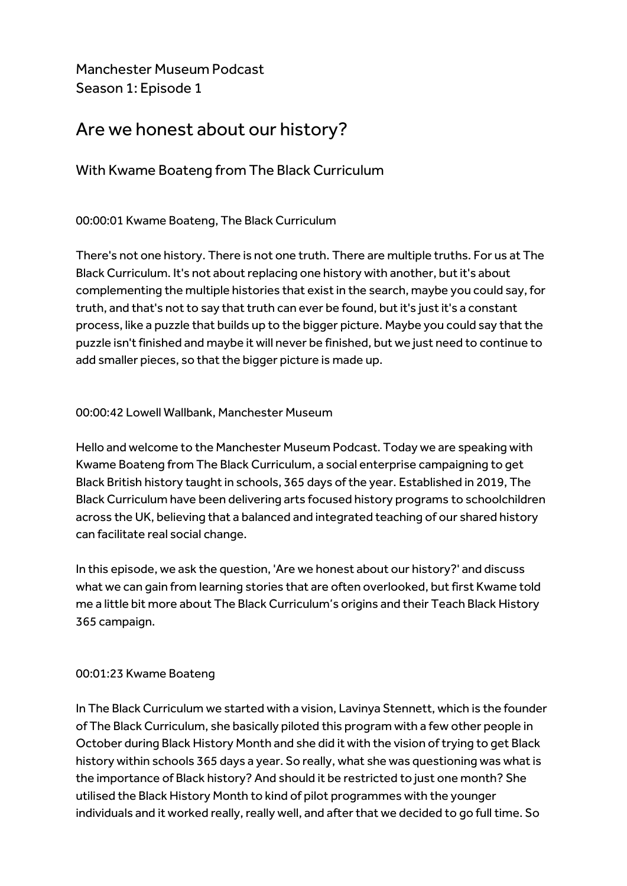Manchester Museum Podcast Season 1: Episode 1

# Are we honest about our history?

With Kwame Boateng from The Black Curriculum

00:00:01 Kwame Boateng, The Black Curriculum

There's not one history. There is not one truth. There are multiple truths. For us at The Black Curriculum. It's not about replacing one history with another, but it's about complementing the multiple histories that exist in the search, maybe you could say, for truth, and that's not to say that truth can ever be found, but it's just it's a constant process, like a puzzle that builds up to the bigger picture. Maybe you could say that the puzzle isn't finished and maybe it will never be finished, but we just need to continue to add smaller pieces, so that the bigger picture is made up.

# 00:00:42 Lowell Wallbank, Manchester Museum

Hello and welcome to the Manchester Museum Podcast. Today we are speaking with Kwame Boateng from The Black Curriculum, a social enterprise campaigning to get Black British history taught in schools, 365 days of the year. Established in 2019, The Black Curriculum have been delivering arts focused history programs to schoolchildren across the UK, believing that a balanced and integrated teaching of our shared history can facilitate real social change.

In this episode, we ask the question, 'Are we honest about our history?' and discuss what we can gain from learning stories that are often overlooked, but first Kwame told me a little bit more about The Black Curriculum's origins and their Teach Black History 365 campaign.

# 00:01:23 Kwame Boateng

In The Black Curriculum we started with a vision, Lavinya Stennett, which is the founder of The Black Curriculum, she basically piloted this program with a few other people in October during Black History Month and she did it with the vision of trying to get Black history within schools 365 days a year. So really, what she was questioning was what is the importance of Black history? And should it be restricted to just one month? She utilised the Black History Month to kind of pilot programmes with the younger individuals and it worked really, really well, and after that we decided to go full time. So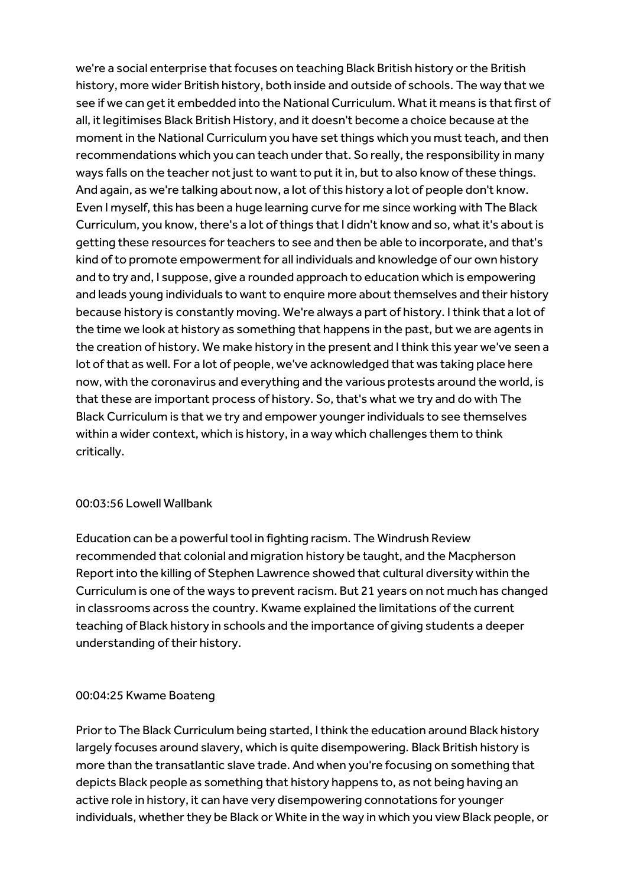we're a social enterprise that focuses on teaching Black British history or the British history, more wider British history, both inside and outside of schools. The way that we see if we can get it embedded into the National Curriculum. What it means is that first of all, it legitimises Black British History, and it doesn't become a choice because at the moment in the National Curriculum you have set things which you must teach, and then recommendations which you can teach under that. So really, the responsibility in many ways falls on the teacher not just to want to put it in, but to also know of these things. And again, as we're talking about now, a lot of this history a lot of people don't know. Even I myself, this has been a huge learning curve for me since working with The Black Curriculum, you know, there's a lot of things that I didn't know and so, what it's about is getting these resources for teachers to see and then be able to incorporate, and that's kind of to promote empowerment for all individuals and knowledge of our own history and to try and, I suppose, give a rounded approach to education which is empowering and leads young individuals to want to enquire more about themselves and their history because history is constantly moving. We're always a part of history. I think that a lot of the time we look at history as something that happens in the past, but we are agents in the creation of history. We make history in the present and I think this year we've seen a lot of that as well. For a lot of people, we've acknowledged that was taking place here now, with the coronavirus and everything and the various protests around the world, is that these are important process of history. So, that's what we try and do with The Black Curriculum is that we try and empower younger individuals to see themselves within a wider context, which is history, in a way which challenges them to think critically.

# 00:03:56 Lowell Wallbank

Education can be a powerful tool in fighting racism. The Windrush Review recommended that colonial and migration history be taught, and the Macpherson Report into the killing of Stephen Lawrence showed that cultural diversity within the Curriculum is one of the ways to prevent racism. But 21 years on not much has changed in classrooms across the country. Kwame explained the limitations of the current teaching of Black history in schools and the importance of giving students a deeper understanding of their history.

# 00:04:25 Kwame Boateng

Prior to The Black Curriculum being started, I think the education around Black history largely focuses around slavery, which is quite disempowering. Black British history is more than the transatlantic slave trade. And when you're focusing on something that depicts Black people as something that history happens to, as not being having an active role in history, it can have very disempowering connotations for younger individuals, whether they be Black or White in the way in which you view Black people, or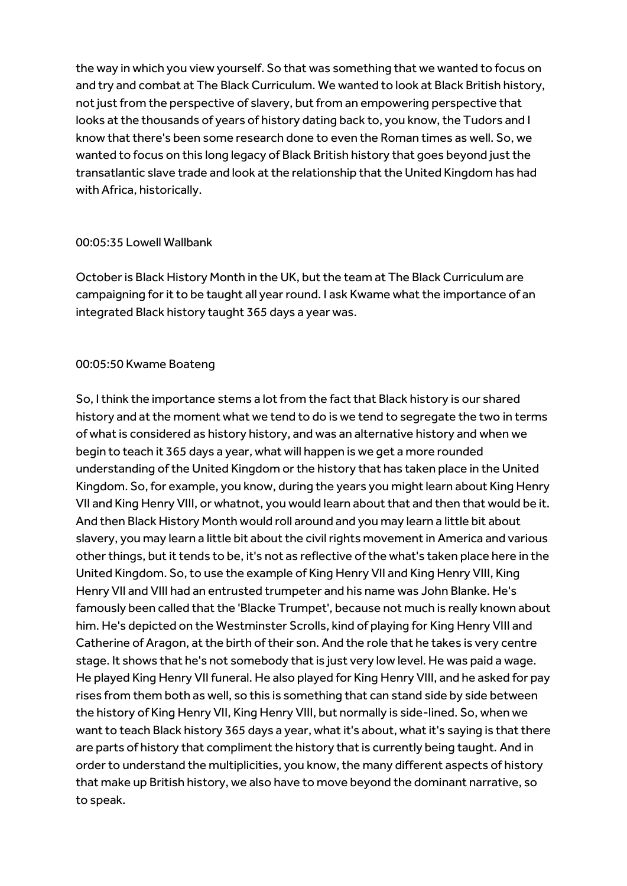the way in which you view yourself. So that was something that we wanted to focus on and try and combat at The Black Curriculum. We wanted to look at Black British history, not just from the perspective of slavery, but from an empowering perspective that looks at the thousands of years of history dating back to, you know, the Tudors and I know that there's been some research done to even the Roman times as well. So, we wanted to focus on this long legacy of Black British history that goes beyond just the transatlantic slave trade and look at the relationship that the United Kingdom has had with Africa, historically.

#### 00:05:35 Lowell Wallbank

October is Black History Month in the UK, but the team at The Black Curriculum are campaigning for it to be taught all year round. I ask Kwame what the importance of an integrated Black history taught 365 days a year was.

#### 00:05:50 Kwame Boateng

So, I think the importance stems a lot from the fact that Black history is our shared history and at the moment what we tend to do is we tend to segregate the two in terms of what is considered as history history, and was an alternative history and when we begin to teach it 365 days a year, what will happen is we get a more rounded understanding of the United Kingdom or the history that has taken place in the United Kingdom. So, for example, you know, during the years you might learn about King Henry VII and King Henry VIII, or whatnot, you would learn about that and then that would be it. And then Black History Month would roll around and you may learn a little bit about slavery, you may learn a little bit about the civil rights movement in America and various other things, but it tends to be, it's not as reflective of the what's taken place here in the United Kingdom. So, to use the example of King Henry VII and King Henry VIII, King Henry VII and VIII had an entrusted trumpeter and his name was John Blanke. He's famously been called that the 'Blacke Trumpet', because not much is really known about him. He's depicted on the Westminster Scrolls, kind of playing for King Henry VIII and Catherine of Aragon, at the birth of their son. And the role that he takes is very centre stage. It shows that he's not somebody that is just very low level. He was paid a wage. He played King Henry VII funeral. He also played for King Henry VIII, and he asked for pay rises from them both as well, so this is something that can stand side by side between the history of King Henry VII, King Henry VIII, but normally is side-lined. So, when we want to teach Black history 365 days a year, what it's about, what it's saying is that there are parts of history that compliment the history that is currently being taught. And in order to understand the multiplicities, you know, the many different aspects of history that make up British history, we also have to move beyond the dominant narrative, so to speak.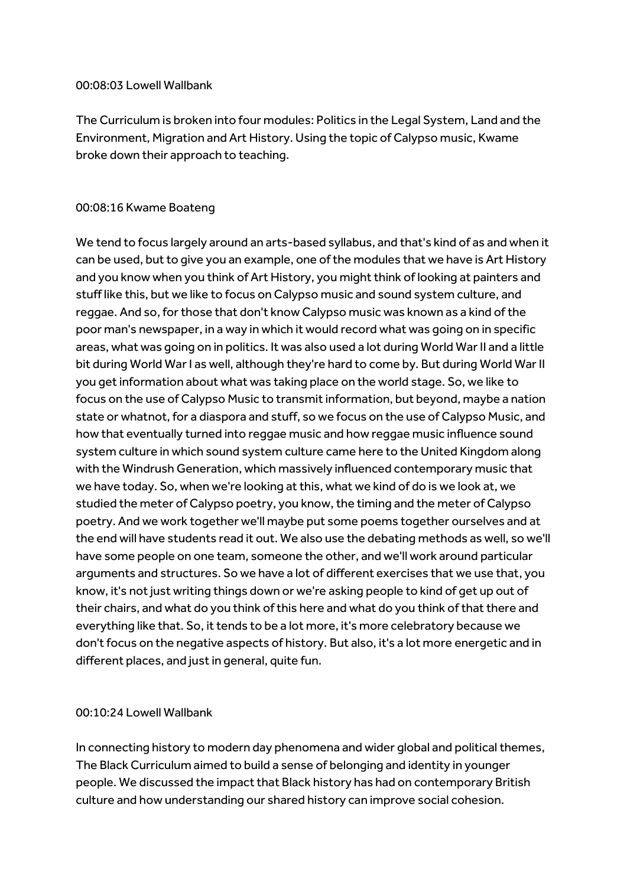#### 00:08:03 Lowell Wallbank

The Curriculum is broken into four modules: Politics in the Legal System, Land and the Environment, Migration and Art History. Using the topic of Calypso music, Kwame broke down their approach to teaching.

#### 00:08:16 Kwame Boateng

We tend to focus largely around an arts-based syllabus, and that's kind of as and when it can be used, but to give you an example, one of the modules that we have is Art History and you know when you think of Art History, you might think of looking at painters and stuff like this, but we like to focus on Calypso music and sound system culture, and reggae. And so, for those that don't know Calypso music was known as a kind of the poor man's newspaper, in a way in which it would record what was going on in specific areas, what was going on in politics. It was also used a lot during World War II and a little bit during World War I as well, although they're hard to come by. But during World War II you get information about what was taking place on the world stage. So, we like to focus on the use of Calypso Music to transmit information, but beyond, maybe a nation state or whatnot, for a diaspora and stuff, so we focus on the use of Calypso Music, and how that eventually turned into reggae music and how reggae music influence sound system culture in which sound system culture came here to the United Kingdom along with the Windrush Generation, which massively influenced contemporary music that we have today. So, when we're looking at this, what we kind of do is we look at, we studied the meter of Calypso poetry, you know, the timing and the meter of Calypso poetry. And we work together we'll maybe put some poems together ourselves and at the end will have students read it out. We also use the debating methods as well, so we'll have some people on one team, someone the other, and we'll work around particular arguments and structures. So we have a lot of different exercises that we use that, you know, it's not just writing things down or we're asking people to kind of get up out of their chairs, and what do you think of this here and what do you think of that there and everything like that. So, it tends to be a lot more, it's more celebratory because we don't focus on the negative aspects of history. But also, it's a lot more energetic and in different places, and just in general, quite fun.

# 00:10:24 Lowell Wallbank

In connecting history to modern day phenomena and wider global and political themes, The Black Curriculum aimed to build a sense of belonging and identity in younger people. We discussed the impact that Black history has had on contemporary British culture and how understanding our shared history can improve social cohesion.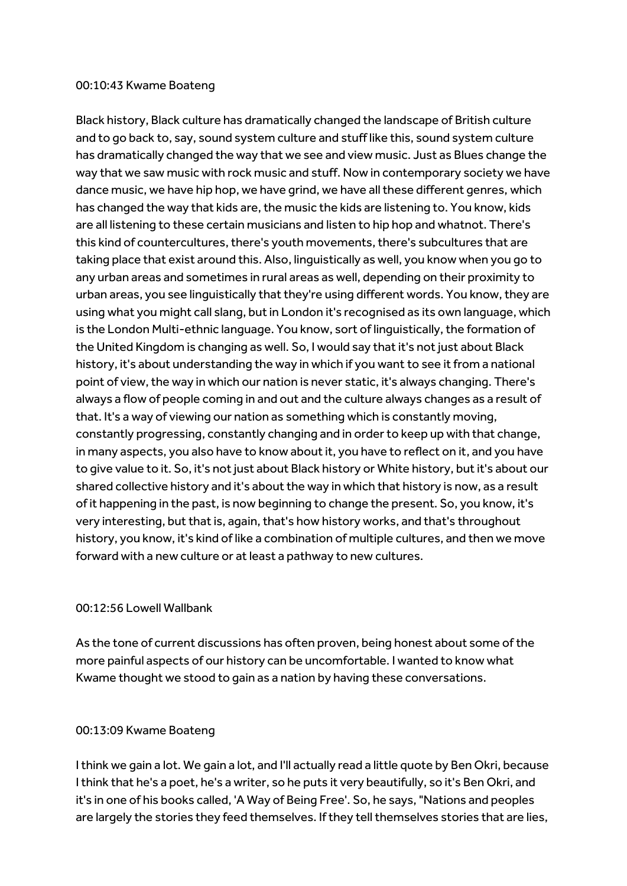#### 00:10:43 Kwame Boateng

Black history, Black culture has dramatically changed the landscape of British culture and to go back to, say, sound system culture and stuff like this, sound system culture has dramatically changed the way that we see and view music. Just as Blues change the way that we saw music with rock music and stuff. Now in contemporary society we have dance music, we have hip hop, we have grind, we have all these different genres, which has changed the way that kids are, the music the kids are listening to. You know, kids are all listening to these certain musicians and listen to hip hop and whatnot. There's this kind of countercultures, there's youth movements, there's subcultures that are taking place that exist around this. Also, linguistically as well, you know when you go to any urban areas and sometimes in rural areas as well, depending on their proximity to urban areas, you see linguistically that they're using different words. You know, they are using what you might call slang, but in London it's recognised as its own language, which is the London Multi-ethnic language. You know, sort of linguistically, the formation of the United Kingdom is changing as well. So, I would say that it's not just about Black history, it's about understanding the way in which if you want to see it from a national point of view, the way in which our nation is never static, it's always changing. There's always a flow of people coming in and out and the culture always changes as a result of that. It's a way of viewing our nation as something which is constantly moving, constantly progressing, constantly changing and in order to keep up with that change, in many aspects, you also have to know about it, you have to reflect on it, and you have to give value to it. So, it's not just about Black history or White history, but it's about our shared collective history and it's about the way in which that history is now, as a result of it happening in the past, is now beginning to change the present. So, you know, it's very interesting, but that is, again, that's how history works, and that's throughout history, you know, it's kind of like a combination of multiple cultures, and then we move forward with a new culture or at least a pathway to new cultures.

#### 00:12:56 Lowell Wallbank

As the tone of current discussions has often proven, being honest about some of the more painful aspects of our history can be uncomfortable. I wanted to know what Kwame thought we stood to gain as a nation by having these conversations.

#### 00:13:09 Kwame Boateng

I think we gain a lot. We gain a lot, and I'll actually read a little quote by Ben Okri, because I think that he's a poet, he's a writer, so he puts it very beautifully, so it's Ben Okri, and it's in one of his books called, 'A Way of Being Free'. So, he says, "Nations and peoples are largely the stories they feed themselves. If they tell themselves stories that are lies,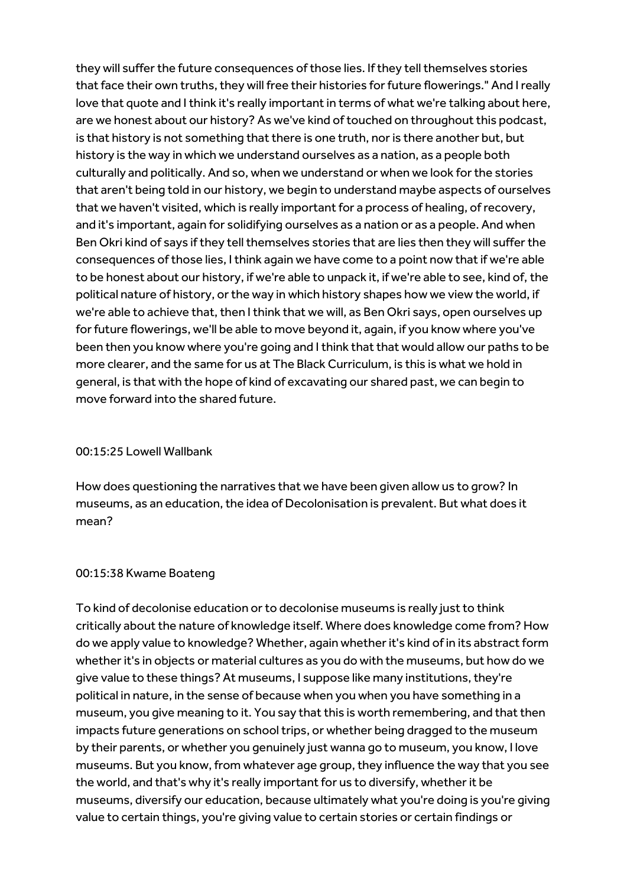they will suffer the future consequences of those lies. If they tell themselves stories that face their own truths, they will free their histories for future flowerings." And I really love that quote and I think it's really important in terms of what we're talking about here, are we honest about our history? As we've kind of touched on throughout this podcast, is that history is not something that there is one truth, nor is there another but, but history is the way in which we understand ourselves as a nation, as a people both culturally and politically. And so, when we understand or when we look for the stories that aren't being told in our history, we begin to understand maybe aspects of ourselves that we haven't visited, which is really important for a process of healing, of recovery, and it's important, again for solidifying ourselves as a nation or as a people. And when Ben Okri kind of says if they tell themselves stories that are lies then they will suffer the consequences of those lies, I think again we have come to a point now that if we're able to be honest about our history, if we're able to unpack it, if we're able to see, kind of, the political nature of history, or the way in which history shapes how we view the world, if we're able to achieve that, then I think that we will, as Ben Okri says, open ourselves up for future flowerings, we'll be able to move beyond it, again, if you know where you've been then you know where you're going and I think that that would allow our paths to be more clearer, and the same for us at The Black Curriculum, is this is what we hold in general, is that with the hope of kind of excavating our shared past, we can begin to move forward into the shared future.

#### 00:15:25 Lowell Wallbank

How does questioning the narratives that we have been given allow us to grow? In museums, as an education, the idea of Decolonisation is prevalent. But what does it mean?

# 00:15:38 Kwame Boateng

To kind of decolonise education or to decolonise museums is really just to think critically about the nature of knowledge itself. Where does knowledge come from? How do we apply value to knowledge? Whether, again whether it's kind of in its abstract form whether it's in objects or material cultures as you do with the museums, but how do we give value to these things? At museums, I suppose like many institutions, they're political in nature, in the sense of because when you when you have something in a museum, you give meaning to it. You say that this is worth remembering, and that then impacts future generations on school trips, or whether being dragged to the museum by their parents, or whether you genuinely just wanna go to museum, you know, I love museums. But you know, from whatever age group, they influence the way that you see the world, and that's why it's really important for us to diversify, whether it be museums, diversify our education, because ultimately what you're doing is you're giving value to certain things, you're giving value to certain stories or certain findings or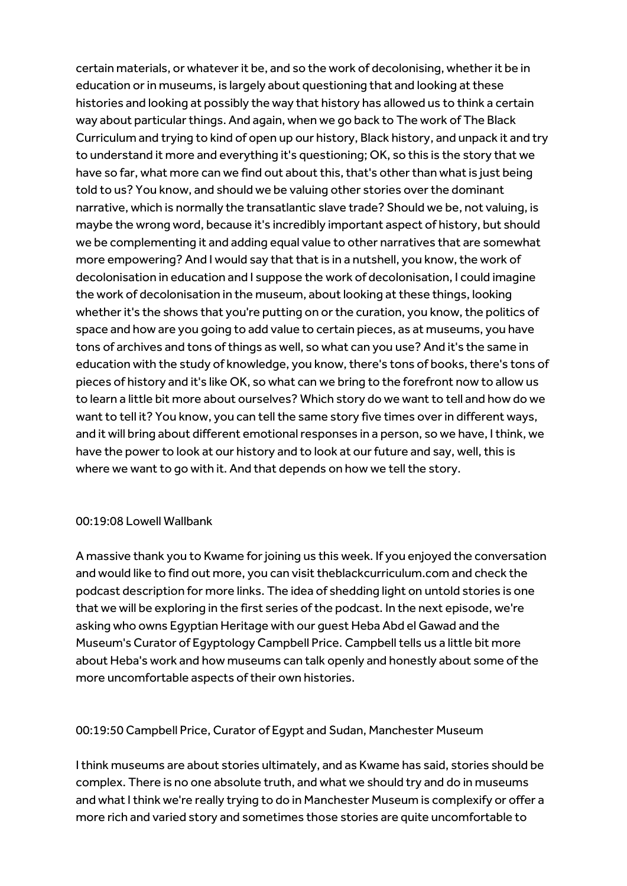certain materials, or whatever it be, and so the work of decolonising, whether it be in education or in museums, is largely about questioning that and looking at these histories and looking at possibly the way that history has allowed us to think a certain way about particular things. And again, when we go back to The work of The Black Curriculum and trying to kind of open up our history, Black history, and unpack it and try to understand it more and everything it's questioning; OK, so this is the story that we have so far, what more can we find out about this, that's other than what is just being told to us? You know, and should we be valuing other stories over the dominant narrative, which is normally the transatlantic slave trade? Should we be, not valuing, is maybe the wrong word, because it's incredibly important aspect of history, but should we be complementing it and adding equal value to other narratives that are somewhat more empowering? And I would say that that is in a nutshell, you know, the work of decolonisation in education and I suppose the work of decolonisation, I could imagine the work of decolonisation in the museum, about looking at these things, looking whether it's the shows that you're putting on or the curation, you know, the politics of space and how are you going to add value to certain pieces, as at museums, you have tons of archives and tons of things as well, so what can you use? And it's the same in education with the study of knowledge, you know, there's tons of books, there's tons of pieces of history and it's like OK, so what can we bring to the forefront now to allow us to learn a little bit more about ourselves? Which story do we want to tell and how do we want to tell it? You know, you can tell the same story five times over in different ways, and it will bring about different emotional responses in a person, so we have, I think, we have the power to look at our history and to look at our future and say, well, this is where we want to go with it. And that depends on how we tell the story.

# 00:19:08 Lowell Wallbank

A massive thank you to Kwame for joining us this week. If you enjoyed the conversation and would like to find out more, you can visit theblackcurriculum.com and check the podcast description for more links. The idea of shedding light on untold stories is one that we will be exploring in the first series of the podcast. In the next episode, we're asking who owns Egyptian Heritage with our guest Heba Abd el Gawad and the Museum's Curator of Egyptology Campbell Price. Campbell tells us a little bit more about Heba's work and how museums can talk openly and honestly about some of the more uncomfortable aspects of their own histories.

# 00:19:50 Campbell Price, Curator of Egypt and Sudan, Manchester Museum

I think museums are about stories ultimately, and as Kwame has said, stories should be complex. There is no one absolute truth, and what we should try and do in museums and what I think we're really trying to do in Manchester Museum is complexify or offer a more rich and varied story and sometimes those stories are quite uncomfortable to